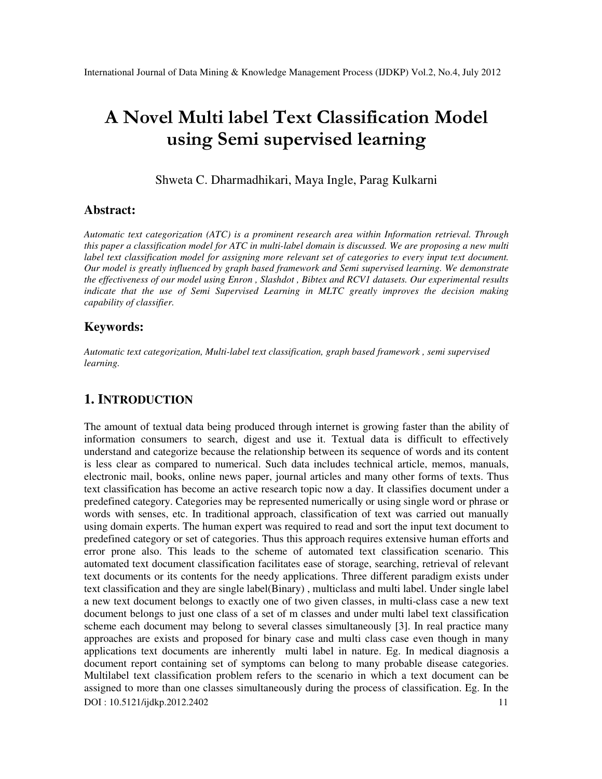# A Novel Multi label Text Classification Model using Semi supervised learning

Shweta C. Dharmadhikari, Maya Ingle, Parag Kulkarni

### **Abstract:**

*Automatic text categorization (ATC) is a prominent research area within Information retrieval. Through this paper a classification model for ATC in multi-label domain is discussed. We are proposing a new multi label text classification model for assigning more relevant set of categories to every input text document. Our model is greatly influenced by graph based framework and Semi supervised learning. We demonstrate the effectiveness of our model using Enron , Slashdot , Bibtex and RCV1 datasets. Our experimental results indicate that the use of Semi Supervised Learning in MLTC greatly improves the decision making capability of classifier.* 

#### **Keywords:**

*Automatic text categorization, Multi-label text classification, graph based framework , semi supervised learning.* 

## **1. INTRODUCTION**

DOI : 10.5121/ijdkp.2012.2402 11 The amount of textual data being produced through internet is growing faster than the ability of information consumers to search, digest and use it. Textual data is difficult to effectively understand and categorize because the relationship between its sequence of words and its content is less clear as compared to numerical. Such data includes technical article, memos, manuals, electronic mail, books, online news paper, journal articles and many other forms of texts. Thus text classification has become an active research topic now a day. It classifies document under a predefined category. Categories may be represented numerically or using single word or phrase or words with senses, etc. In traditional approach, classification of text was carried out manually using domain experts. The human expert was required to read and sort the input text document to predefined category or set of categories. Thus this approach requires extensive human efforts and error prone also. This leads to the scheme of automated text classification scenario. This automated text document classification facilitates ease of storage, searching, retrieval of relevant text documents or its contents for the needy applications. Three different paradigm exists under text classification and they are single label(Binary) , multiclass and multi label. Under single label a new text document belongs to exactly one of two given classes, in multi-class case a new text document belongs to just one class of a set of m classes and under multi label text classification scheme each document may belong to several classes simultaneously [3]. In real practice many approaches are exists and proposed for binary case and multi class case even though in many applications text documents are inherently multi label in nature. Eg. In medical diagnosis a document report containing set of symptoms can belong to many probable disease categories. Multilabel text classification problem refers to the scenario in which a text document can be assigned to more than one classes simultaneously during the process of classification. Eg. In the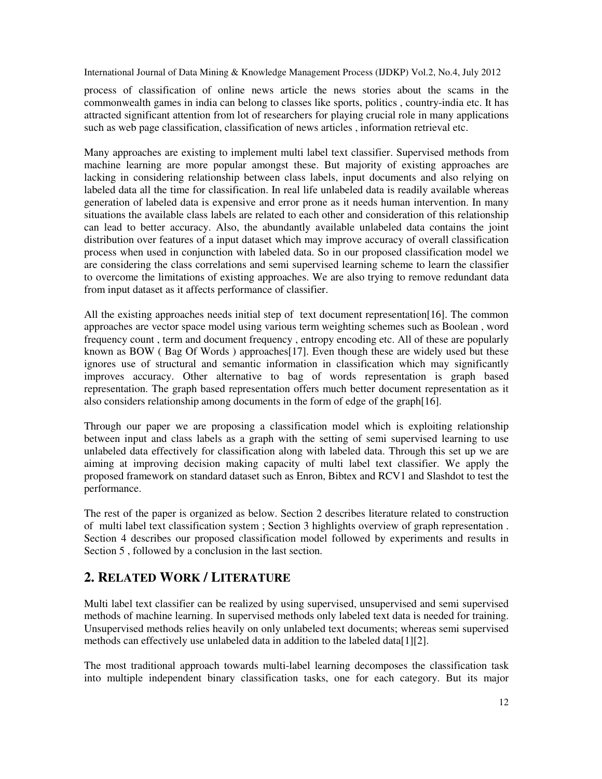process of classification of online news article the news stories about the scams in the commonwealth games in india can belong to classes like sports, politics , country-india etc. It has attracted significant attention from lot of researchers for playing crucial role in many applications such as web page classification, classification of news articles , information retrieval etc.

Many approaches are existing to implement multi label text classifier. Supervised methods from machine learning are more popular amongst these. But majority of existing approaches are lacking in considering relationship between class labels, input documents and also relying on labeled data all the time for classification. In real life unlabeled data is readily available whereas generation of labeled data is expensive and error prone as it needs human intervention. In many situations the available class labels are related to each other and consideration of this relationship can lead to better accuracy. Also, the abundantly available unlabeled data contains the joint distribution over features of a input dataset which may improve accuracy of overall classification process when used in conjunction with labeled data. So in our proposed classification model we are considering the class correlations and semi supervised learning scheme to learn the classifier to overcome the limitations of existing approaches. We are also trying to remove redundant data from input dataset as it affects performance of classifier.

All the existing approaches needs initial step of text document representation[16]. The common approaches are vector space model using various term weighting schemes such as Boolean , word frequency count , term and document frequency , entropy encoding etc. All of these are popularly known as BOW (Bag Of Words) approaches [17]. Even though these are widely used but these ignores use of structural and semantic information in classification which may significantly improves accuracy. Other alternative to bag of words representation is graph based representation. The graph based representation offers much better document representation as it also considers relationship among documents in the form of edge of the graph[16].

Through our paper we are proposing a classification model which is exploiting relationship between input and class labels as a graph with the setting of semi supervised learning to use unlabeled data effectively for classification along with labeled data. Through this set up we are aiming at improving decision making capacity of multi label text classifier. We apply the proposed framework on standard dataset such as Enron, Bibtex and RCV1 and Slashdot to test the performance.

The rest of the paper is organized as below. Section 2 describes literature related to construction of multi label text classification system ; Section 3 highlights overview of graph representation . Section 4 describes our proposed classification model followed by experiments and results in Section 5 , followed by a conclusion in the last section.

# **2. RELATED WORK / LITERATURE**

Multi label text classifier can be realized by using supervised, unsupervised and semi supervised methods of machine learning. In supervised methods only labeled text data is needed for training. Unsupervised methods relies heavily on only unlabeled text documents; whereas semi supervised methods can effectively use unlabeled data in addition to the labeled data[1][2].

The most traditional approach towards multi-label learning decomposes the classification task into multiple independent binary classification tasks, one for each category. But its major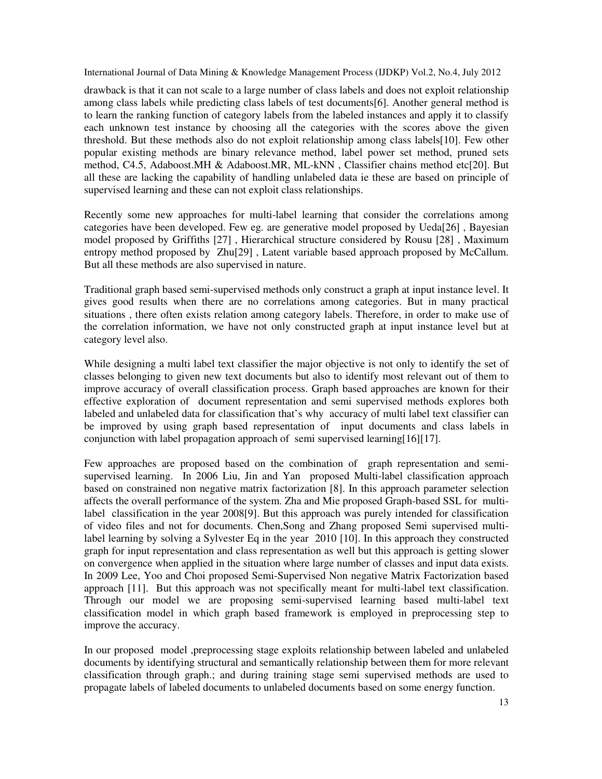drawback is that it can not scale to a large number of class labels and does not exploit relationship among class labels while predicting class labels of test documents[6]. Another general method is to learn the ranking function of category labels from the labeled instances and apply it to classify each unknown test instance by choosing all the categories with the scores above the given threshold. But these methods also do not exploit relationship among class labels[10]. Few other popular existing methods are binary relevance method, label power set method, pruned sets method, C4.5, Adaboost.MH & Adaboost.MR, ML-kNN , Classifier chains method etc[20]. But all these are lacking the capability of handling unlabeled data ie these are based on principle of supervised learning and these can not exploit class relationships.

Recently some new approaches for multi-label learning that consider the correlations among categories have been developed. Few eg. are generative model proposed by Ueda[26] , Bayesian model proposed by Griffiths [27] , Hierarchical structure considered by Rousu [28] , Maximum entropy method proposed by Zhu[29] , Latent variable based approach proposed by McCallum. But all these methods are also supervised in nature.

Traditional graph based semi-supervised methods only construct a graph at input instance level. It gives good results when there are no correlations among categories. But in many practical situations , there often exists relation among category labels. Therefore, in order to make use of the correlation information, we have not only constructed graph at input instance level but at category level also.

While designing a multi label text classifier the major objective is not only to identify the set of classes belonging to given new text documents but also to identify most relevant out of them to improve accuracy of overall classification process. Graph based approaches are known for their effective exploration of document representation and semi supervised methods explores both labeled and unlabeled data for classification that's why accuracy of multi label text classifier can be improved by using graph based representation of input documents and class labels in conjunction with label propagation approach of semi supervised learning[16][17].

Few approaches are proposed based on the combination of graph representation and semisupervised learning. In 2006 Liu, Jin and Yan proposed Multi-label classification approach based on constrained non negative matrix factorization [8]. In this approach parameter selection affects the overall performance of the system. Zha and Mie proposed Graph-based SSL for multilabel classification in the year 2008[9]. But this approach was purely intended for classification of video files and not for documents. Chen,Song and Zhang proposed Semi supervised multilabel learning by solving a Sylvester Eq in the year 2010 [10]. In this approach they constructed graph for input representation and class representation as well but this approach is getting slower on convergence when applied in the situation where large number of classes and input data exists. In 2009 Lee, Yoo and Choi proposed Semi-Supervised Non negative Matrix Factorization based approach [11]. But this approach was not specifically meant for multi-label text classification. Through our model we are proposing semi-supervised learning based multi-label text classification model in which graph based framework is employed in preprocessing step to improve the accuracy.

In our proposed model ,preprocessing stage exploits relationship between labeled and unlabeled documents by identifying structural and semantically relationship between them for more relevant classification through graph.; and during training stage semi supervised methods are used to propagate labels of labeled documents to unlabeled documents based on some energy function.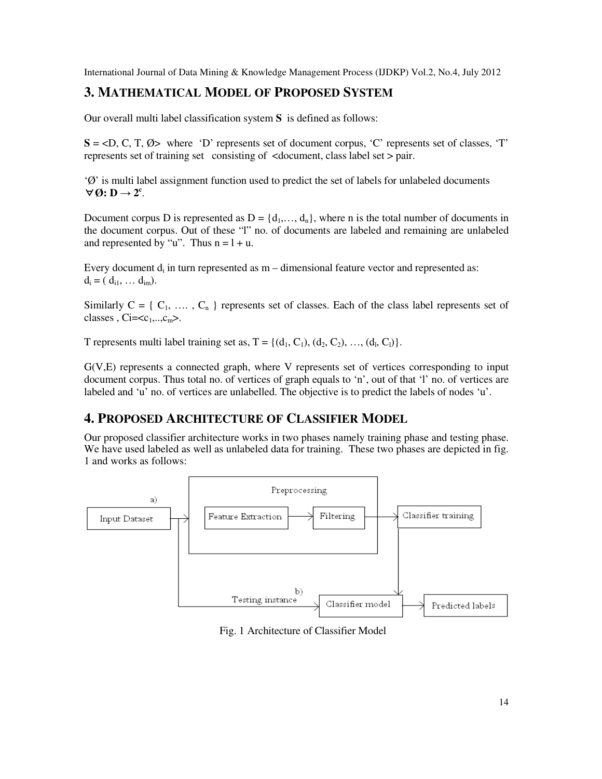# **3. MATHEMATICAL MODEL OF PROPOSED SYSTEM**

Our overall multi label classification system **S** is defined as follows:

 $S = \langle D, C, T, \emptyset \rangle$  where 'D' represents set of document corpus, 'C' represents set of classes, 'T' represents set of training set consisting of <document, class label set > pair.

 $\mathcal{O}'$  is multi label assignment function used to predict the set of labels for unlabeled documents  $\forall$  Ø: **D** → 2<sup>c</sup>.

Document corpus D is represented as  $D = \{d_1, \ldots, d_n\}$ , where n is the total number of documents in the document corpus. Out of these "l" no. of documents are labeled and remaining are unlabeled and represented by "u". Thus  $n = 1 + u$ .

Every document  $d_i$  in turn represented as  $m -$  dimensional feature vector and represented as:  $d_i = (d_{i1}, \ldots d_{im}).$ 

Similarly  $C = \{C_1, \ldots, C_n\}$  represents set of classes. Each of the class label represents set of classes,  $Ci = .$ 

T represents multi label training set as,  $T = \{(d_1, C_1), (d_2, C_2), ..., (d_i, C_i)\}.$ 

G(V,E) represents a connected graph, where V represents set of vertices corresponding to input document corpus. Thus total no. of vertices of graph equals to 'n', out of that 'l' no. of vertices are labeled and 'u' no. of vertices are unlabelled. The objective is to predict the labels of nodes 'u'.

# **4. PROPOSED ARCHITECTURE OF CLASSIFIER MODEL**

Our proposed classifier architecture works in two phases namely training phase and testing phase. We have used labeled as well as unlabeled data for training. These two phases are depicted in fig. 1 and works as follows:



Fig. 1 Architecture of Classifier Model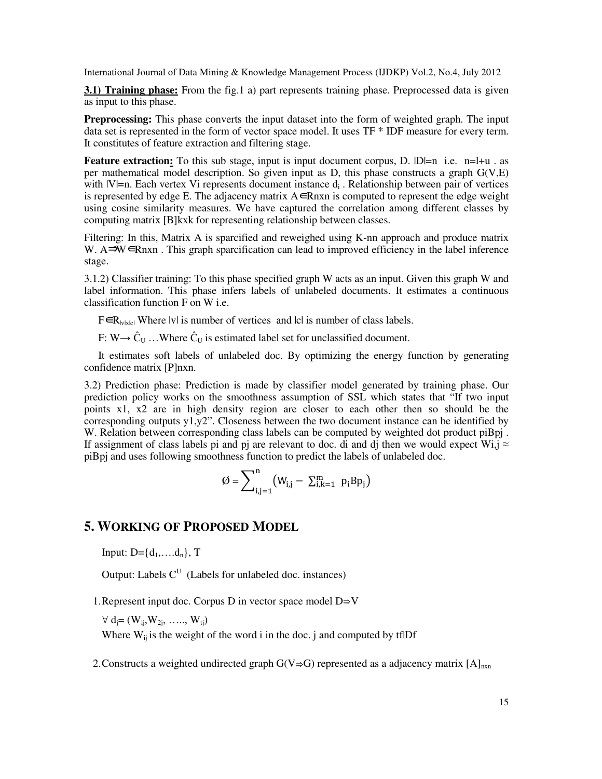**3.1) Training phase:** From the fig.1 a) part represents training phase. Preprocessed data is given as input to this phase.

**Preprocessing:** This phase converts the input dataset into the form of weighted graph. The input data set is represented in the form of vector space model. It uses TF \* IDF measure for every term. It constitutes of feature extraction and filtering stage.

**Feature extraction:** To this sub stage, input is input document corpus, D.  $|D|=n$  i.e. n=1+u . as per mathematical model description. So given input as D, this phase constructs a graph G(V,E) with  $|V|=n$ . Each vertex Vi represents document instance  $d_i$ . Relationship between pair of vertices is represented by edge E. The adjacency matrix A∈Rnxn is computed to represent the edge weight using cosine similarity measures. We have captured the correlation among different classes by computing matrix [B]kxk for representing relationship between classes.

Filtering: In this, Matrix A is sparcified and reweighed using K-nn approach and produce matrix W. A⇒W ERnxn. This graph sparcification can lead to improved efficiency in the label inference stage.

3.1.2) Classifier training: To this phase specified graph W acts as an input. Given this graph W and label information. This phase infers labels of unlabeled documents. It estimates a continuous classification function F on W i.e.

 $F \in R_{\text{iv}}$ <sub>klxkl</sub> Where |v| is number of vertices and |c| is number of class labels.

F:  $W \rightarrow \hat{C}_U$  ... Where  $\hat{C}_U$  is estimated label set for unclassified document.

It estimates soft labels of unlabeled doc. By optimizing the energy function by generating confidence matrix [P]nxn.

3.2) Prediction phase: Prediction is made by classifier model generated by training phase. Our prediction policy works on the smoothness assumption of SSL which states that "If two input points x1, x2 are in high density region are closer to each other then so should be the corresponding outputs  $y_1, y_2$ ". Closeness between the two document instance can be identified by W. Relation between corresponding class labels can be computed by weighted dot product piBpj . If assignment of class labels pi and pj are relevant to doc. di and dj then we would expect Wi,j  $\approx$ piBpj and uses following smoothness function to predict the labels of unlabeled doc.

$$
\emptyset = \sum\nolimits_{i,j=1}^{n} (W_{i,j} - \sum\nolimits_{i,k=1}^{m} p_{i} B p_{j})
$$

## **5. WORKING OF PROPOSED MODEL**

Input:  $D = \{d_1, \ldots, d_n\}$ , T

Output: Labels  $C^U$  (Labels for unlabeled doc. instances)

1.Represent input doc. Corpus D in vector space model D⇒V

 $∀ d<sub>i</sub>=(W<sub>ii</sub>, W<sub>2i</sub>, ....., W<sub>ti</sub>)$ 

Where  $W_{ii}$  is the weight of the word i in the doc. j and computed by tflDf

2. Constructs a weighted undirected graph G(V $\Rightarrow$ G) represented as a adjacency matrix [A]<sub>nxn</sub>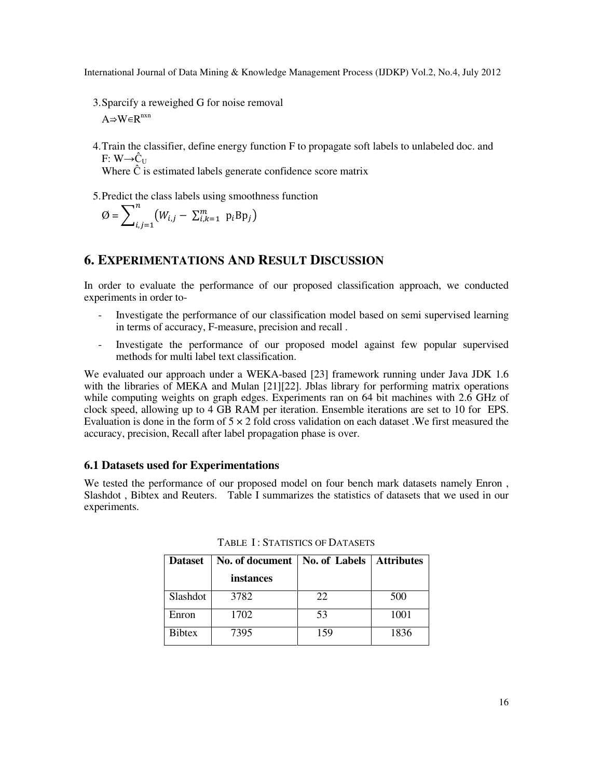3.Sparcify a reweighed G for noise removal  $A \Rightarrow W \in R^{n \times n}$ 

4.Train the classifier, define energy function F to propagate soft labels to unlabeled doc. and  $F: W \rightarrow \hat{C}_{U}$ 

Where  $\hat{C}$  is estimated labels generate confidence score matrix

5.Predict the class labels using smoothness function

$$
\emptyset = \sum_{i,j=1}^{n} (W_{i,j} - \sum_{i,k=1}^{m} p_i B p_j)
$$

## **6. EXPERIMENTATIONS AND RESULT DISCUSSION**

In order to evaluate the performance of our proposed classification approach, we conducted experiments in order to-

- Investigate the performance of our classification model based on semi supervised learning in terms of accuracy, F-measure, precision and recall .
- Investigate the performance of our proposed model against few popular supervised methods for multi label text classification.

We evaluated our approach under a WEKA-based [23] framework running under Java JDK 1.6 with the libraries of MEKA and Mulan [21][22]. Jblas library for performing matrix operations while computing weights on graph edges. Experiments ran on 64 bit machines with 2.6 GHz of clock speed, allowing up to 4 GB RAM per iteration. Ensemble iterations are set to 10 for EPS. Evaluation is done in the form of  $5 \times 2$  fold cross validation on each dataset. We first measured the accuracy, precision, Recall after label propagation phase is over.

#### **6.1 Datasets used for Experimentations**

We tested the performance of our proposed model on four bench mark datasets namely Enron , Slashdot , Bibtex and Reuters. Table I summarizes the statistics of datasets that we used in our experiments.

| <b>Dataset</b> | No. of document | No. of Labels | <b>Attributes</b> |
|----------------|-----------------|---------------|-------------------|
|                | instances       |               |                   |
| Slashdot       | 3782            | 22.           | 500               |
| Enron          | 1702            | 53            | 1001              |
| <b>Bibtex</b>  | 7395            | 159           | 1836              |

TABLE I: STATISTICS OF DATASETS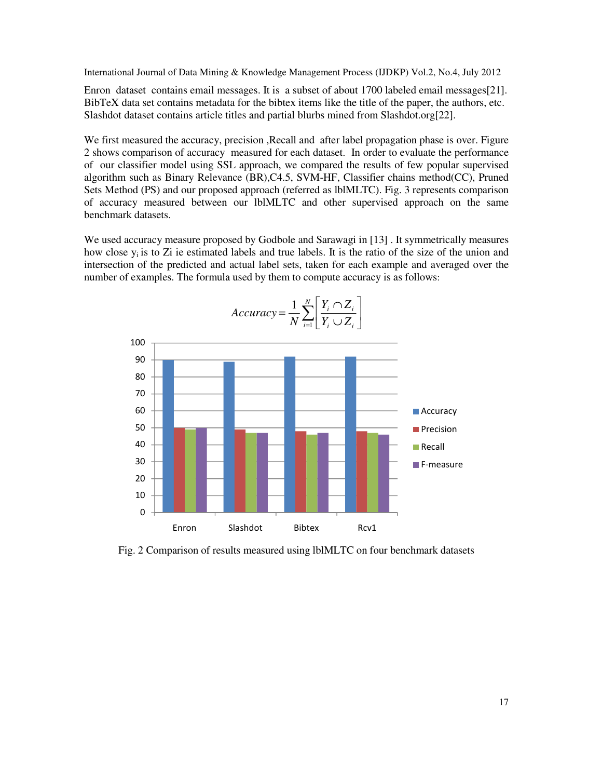Enron dataset contains email messages. It is a subset of about 1700 labeled email messages[21]. BibTeX data set contains metadata for the bibtex items like the title of the paper, the authors, etc. Slashdot dataset contains article titles and partial blurbs mined from Slashdot.org[22].

We first measured the accuracy, precision ,Recall and after label propagation phase is over. Figure 2 shows comparison of accuracy measured for each dataset. In order to evaluate the performance of our classifier model using SSL approach, we compared the results of few popular supervised algorithm such as Binary Relevance (BR),C4.5, SVM-HF, Classifier chains method(CC), Pruned Sets Method (PS) and our proposed approach (referred as lblMLTC). Fig. 3 represents comparison of accuracy measured between our lblMLTC and other supervised approach on the same benchmark datasets.

We used accuracy measure proposed by Godbole and Sarawagi in [13] . It symmetrically measures how close  $y_i$  is to Zi ie estimated labels and true labels. It is the ratio of the size of the union and intersection of the predicted and actual label sets, taken for each example and averaged over the number of examples. The formula used by them to compute accuracy is as follows:



Fig. 2 Comparison of results measured using lblMLTC on four benchmark datasets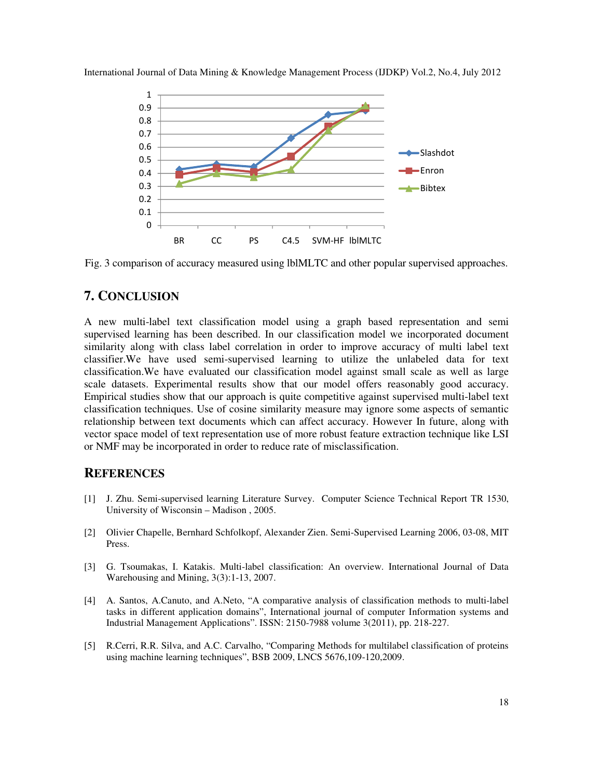

Fig. 3 comparison of accuracy measured using lblMLTC and other popular supervised approaches.

## **7. CONCLUSION**

A new multi-label text classification model using a graph based representation and semi supervised learning has been described. In our classification model we incorporated document similarity along with class label correlation in order to improve accuracy of multi label text classifier.We have used semi-supervised learning to utilize the unlabeled data for text classification.We have evaluated our classification model against small scale as well as large scale datasets. Experimental results show that our model offers reasonably good accuracy. Empirical studies show that our approach is quite competitive against supervised multi-label text classification techniques. Use of cosine similarity measure may ignore some aspects of semantic relationship between text documents which can affect accuracy. However In future, along with vector space model of text representation use of more robust feature extraction technique like LSI or NMF may be incorporated in order to reduce rate of misclassification.

#### **REFERENCES**

- [1] J. Zhu. Semi-supervised learning Literature Survey. Computer Science Technical Report TR 1530, University of Wisconsin – Madison , 2005.
- [2] Olivier Chapelle, Bernhard Schfolkopf, Alexander Zien. Semi-Supervised Learning 2006, 03-08, MIT Press.
- [3] G. Tsoumakas, I. Katakis. Multi-label classification: An overview. International Journal of Data Warehousing and Mining, 3(3):1-13, 2007.
- [4] A. Santos, A.Canuto, and A.Neto, "A comparative analysis of classification methods to multi-label tasks in different application domains", International journal of computer Information systems and Industrial Management Applications". ISSN: 2150-7988 volume 3(2011), pp. 218-227.
- [5] R.Cerri, R.R. Silva, and A.C. Carvalho, "Comparing Methods for multilabel classification of proteins using machine learning techniques", BSB 2009, LNCS 5676,109-120,2009.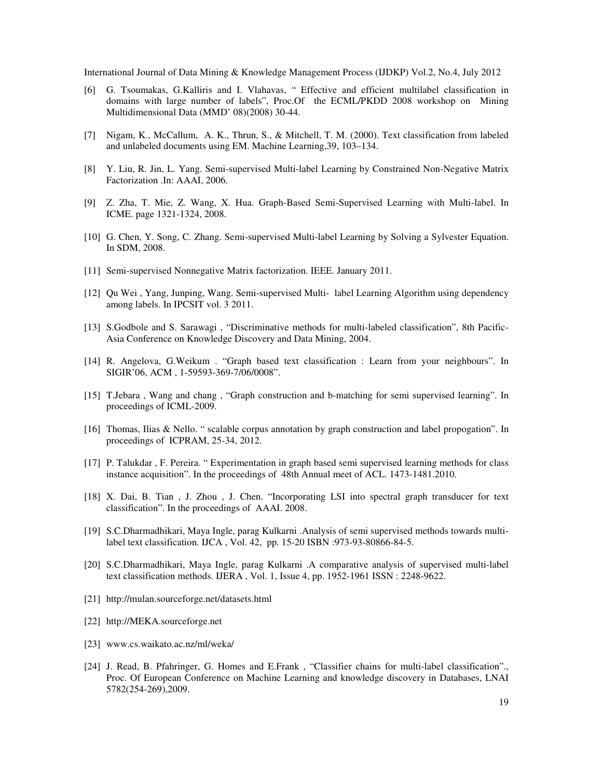- [6] G. Tsoumakas, G.Kalliris and I. Vlahavas, " Effective and efficient multilabel classification in domains with large number of labels", Proc.Of the ECML/PKDD 2008 workshop on Mining Multidimensional Data (MMD' 08)(2008) 30-44.
- [7] Nigam, K., McCallum, A. K., Thrun, S., & Mitchell, T. M. (2000). Text classification from labeled and unlabeled documents using EM. Machine Learning,39, 103–134.
- [8] Y. Liu, R. Jin, L. Yang. Semi-supervised Multi-label Learning by Constrained Non-Negative Matrix Factorization .In: AAAI, 2006.
- [9] Z. Zha, T. Mie, Z. Wang, X. Hua. Graph-Based Semi-Supervised Learning with Multi-label. In ICME. page 1321-1324, 2008.
- [10] G. Chen, Y. Song, C. Zhang. Semi-supervised Multi-label Learning by Solving a Sylvester Equation. In SDM, 2008.
- [11] Semi-supervised Nonnegative Matrix factorization. IEEE. January 2011.
- [12] Qu Wei , Yang, Junping, Wang. Semi-supervised Multi- label Learning Algorithm using dependency among labels. In IPCSIT vol. 3 2011.
- [13] S.Godbole and S. Sarawagi , "Discriminative methods for multi-labeled classification", 8th Pacific-Asia Conference on Knowledge Discovery and Data Mining, 2004.
- [14] R. Angelova, G.Weikum . "Graph based text classification : Learn from your neighbours". In SIGIR'06, ACM , 1-59593-369-7/06/0008".
- [15] T.Jebara , Wang and chang , "Graph construction and b-matching for semi supervised learning". In proceedings of ICML-2009.
- [16] Thomas, Ilias & Nello. " scalable corpus annotation by graph construction and label propogation". In proceedings of ICPRAM, 25-34, 2012.
- [17] P. Talukdar , F. Pereira. " Experimentation in graph based semi supervised learning methods for class instance acquisition". In the proceedings of 48th Annual meet of ACL. 1473-1481.2010.
- [18] X. Dai, B. Tian , J. Zhou , J. Chen. "Incorporating LSI into spectral graph transducer for text classification". In the proceedings of AAAI. 2008.
- [19] S.C.Dharmadhikari, Maya Ingle, parag Kulkarni .Analysis of semi supervised methods towards multilabel text classification. IJCA , Vol. 42, pp. 15-20 ISBN :973-93-80866-84-5.
- [20] S.C.Dharmadhikari, Maya Ingle, parag Kulkarni .A comparative analysis of supervised multi-label text classification methods. IJERA , Vol. 1, Issue 4, pp. 1952-1961 ISSN : 2248-9622.
- [21] http://mulan.sourceforge.net/datasets.html
- [22] http://MEKA.sourceforge.net
- [23] www.cs.waikato.ac.nz/ml/weka/
- [24] J. Read, B. Pfahringer, G. Homes and E.Frank , "Classifier chains for multi-label classification"., Proc. Of European Conference on Machine Learning and knowledge discovery in Databases, LNAI 5782(254-269),2009.